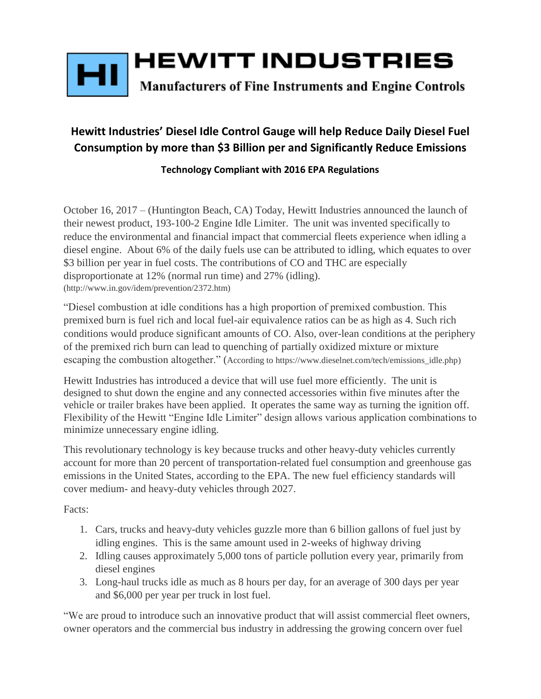

## **Hewitt Industries' Diesel Idle Control Gauge will help Reduce Daily Diesel Fuel Consumption by more than \$3 Billion per and Significantly Reduce Emissions**

## **Technology Compliant with 2016 EPA Regulations**

October 16, 2017 – (Huntington Beach, CA) Today, Hewitt Industries announced the launch of their newest product, 193-100-2 Engine Idle Limiter. The unit was invented specifically to reduce the environmental and financial impact that commercial fleets experience when idling a diesel engine. About 6% of the daily fuels use can be attributed to idling, which equates to over \$3 billion per year in fuel costs. The contributions of CO and THC are especially disproportionate at 12% (normal run time) and 27% (idling). (http://www.in.gov/idem/prevention/2372.htm)

"Diesel combustion at idle conditions has a high proportion of premixed combustion. This premixed burn is fuel rich and local fuel-air equivalence ratios can be as high as 4. Such rich conditions would produce significant amounts of CO. Also, over-lean conditions at the periphery of the premixed rich burn can lead to quenching of partially oxidized mixture or mixture escaping the combustion altogether." (According to https://www.dieselnet.com/tech/emissions\_idle.php)

Hewitt Industries has introduced a device that will use fuel more efficiently. The unit is designed to shut down the engine and any connected accessories within five minutes after the vehicle or trailer brakes have been applied. It operates the same way as turning the ignition off. Flexibility of the Hewitt "Engine Idle Limiter" design allows various application combinations to minimize unnecessary engine idling.

This revolutionary technology is key because trucks and other heavy-duty vehicles currently account for more than [20 percent](https://www.epa.gov/newsreleases/epa-and-dot-finalize-greenhouse-gas-and-fuel-efficiency-standards-heavy-duty-trucks-0) of transportation-related fuel consumption and greenhouse gas emissions in the United States, according to the EPA. The new fuel efficiency standards will cover medium- and heavy-duty vehicles through 2027.

Facts:

- 1. Cars, trucks and heavy-duty vehicles guzzle more than 6 billion gallons of fuel just by idling engines. This is the same amount used in 2-weeks of highway driving
- 2. Idling causes approximately 5,000 tons of particle pollution every year, primarily from diesel engines
- 3. Long-haul trucks idle as much as 8 hours per day, for an average of 300 days per year and \$6,000 per year per truck in lost fuel.

"We are proud to introduce such an innovative product that will assist commercial fleet owners, owner operators and the commercial bus industry in addressing the growing concern over fuel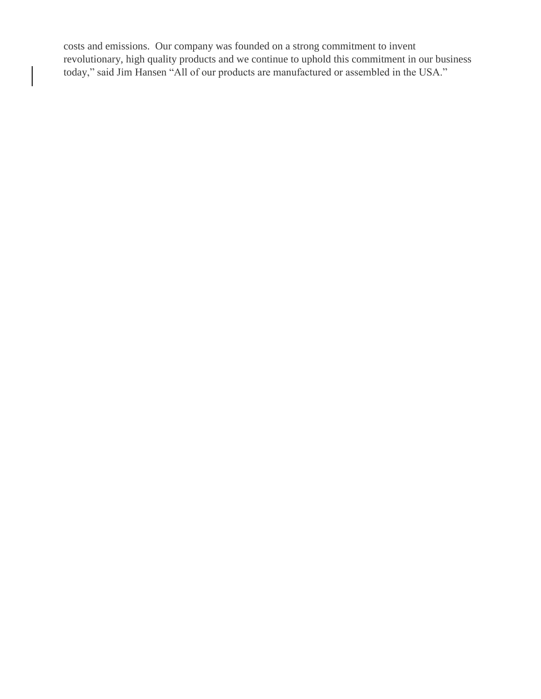costs and emissions. Our company was founded on a strong commitment to invent revolutionary, high quality products and we continue to uphold this commitment in our business today," said Jim Hansen "All of our products are manufactured or assembled in the USA."